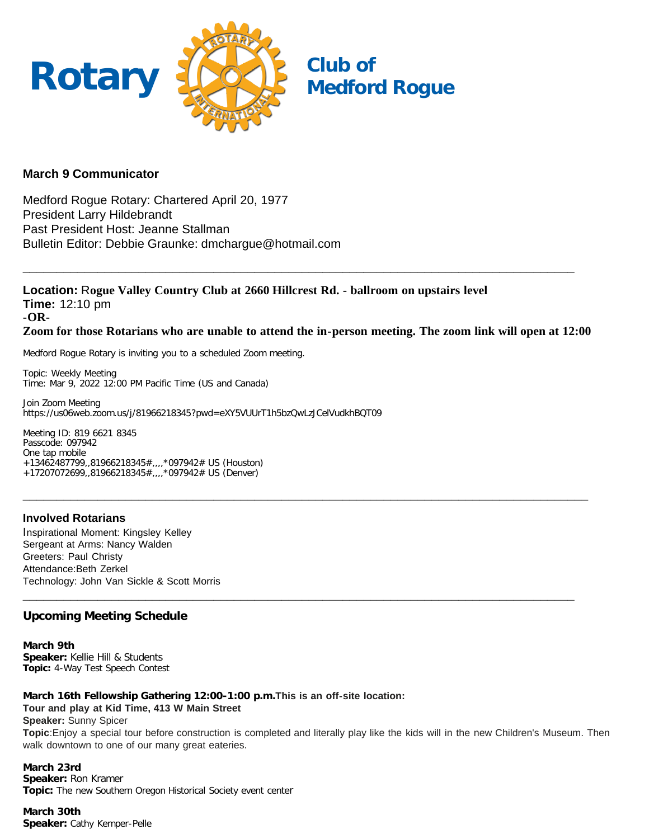

## **March 9 Communicator**

Medford Rogue Rotary: Chartered April 20, 1977 President Larry Hildebrandt Past President Host: Jeanne Stallman Bulletin Editor: Debbie Graunke: dmchargue@hotmail.com

**Location:** R**ogue Valley Country Club at 2660 Hillcrest Rd. - ballroom on upstairs level Time:** 12:10 pm **-OR-Zoom for those Rotarians who are unable to attend the in-person meeting. The zoom link will open at 12:00**

**\_\_\_\_\_\_\_\_\_\_\_\_\_\_\_\_\_\_\_\_\_\_\_\_\_\_\_\_\_\_\_\_\_\_\_\_\_\_\_\_\_\_\_\_\_\_\_\_\_\_\_\_\_\_\_\_\_\_\_\_\_\_\_\_\_\_\_\_\_\_\_\_\_\_\_\_\_\_\_\_\_**

**\_\_\_\_\_\_\_\_\_\_\_\_\_\_\_\_\_\_\_\_\_\_\_\_\_\_\_\_\_\_\_\_\_\_\_\_\_\_\_\_\_\_\_\_\_\_\_\_\_\_\_\_\_\_\_\_\_\_\_\_\_\_\_\_\_\_\_\_\_\_\_\_\_\_\_\_\_\_\_\_\_\_\_**

**\_\_\_\_\_\_\_\_\_\_\_\_\_\_\_\_\_\_\_\_\_\_\_\_\_\_\_\_\_\_\_\_\_\_\_\_\_\_\_\_\_\_\_\_\_\_\_\_\_\_\_\_\_\_\_\_\_\_\_\_\_\_\_\_\_\_\_\_\_\_\_\_\_\_\_\_\_\_\_\_\_**

Medford Rogue Rotary is inviting you to a scheduled Zoom meeting.

Topic: Weekly Meeting Time: Mar 9, 2022 12:00 PM Pacific Time (US and Canada)

Join Zoom Meeting https://us06web.zoom.us/j/81966218345?pwd=eXY5VUUrT1h5bzQwLzJCelVudkhBQT09

Meeting ID: 819 6621 8345 Passcode: 097942 One tap mobile +13462487799,,81966218345#,,,,\*097942# US (Houston) +17207072699,,81966218345#,,,,\*097942# US (Denver)

### **Involved Rotarians**

Inspirational Moment: Kingsley Kelley Sergeant at Arms: Nancy Walden Greeters: Paul Christy Attendance:Beth Zerkel Technology: John Van Sickle & Scott Morris

## **Upcoming Meeting Schedule**

**March 9th Speaker:** Kellie Hill & Students **Topic:** 4-Way Test Speech Contest

**March 16th Fellowship Gathering 12:00-1:00 p.m.This is an off-site location: Tour and play at Kid Time, 413 W Main Street Speaker:** Sunny Spicer

**Topic**:Enjoy a special tour before construction is completed and literally play like the kids will in the new Children's Museum. Then walk downtown to one of our many great eateries.

**March 23rd Speaker:** Ron Kramer **Topic:** The new Southern Oregon Historical Society event center

**March 30th Speaker:** Cathy Kemper-Pelle